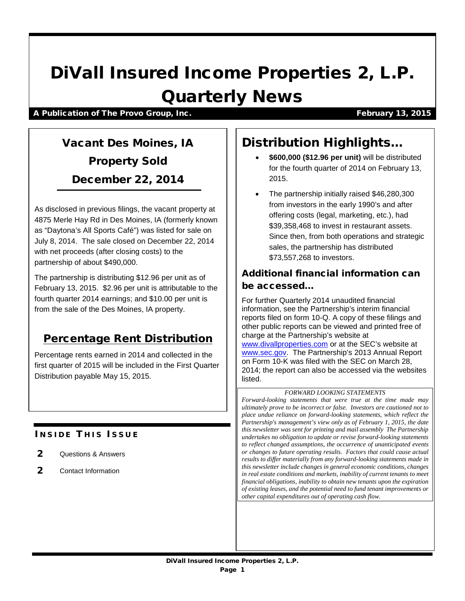# DiVall Insured Income Properties 2, L.P. Quarterly News

#### A Publication of The Provo Group, Inc. The Control of The Provo Group, Inc. The Control of The Provo Group, Inc.

## Vacant Des Moines, IA Property Sold December 22, 2014

As disclosed in previous filings, the vacant property at 4875 Merle Hay Rd in Des Moines, IA (formerly known as "Daytona's All Sports Café") was listed for sale on July 8, 2014. The sale closed on December 22, 2014 with net proceeds (after closing costs) to the partnership of about \$490,000.

The partnership is distributing \$12.96 per unit as of February 13, 2015. \$2.96 per unit is attributable to the fourth quarter 2014 earnings; and \$10.00 per unit is from the sale of the Des Moines, IA property.

### Percentage Rent Distribution

Percentage rents earned in 2014 and collected in the first quarter of 2015 will be included in the First Quarter Distribution payable May 15, 2015.

### **INSIDE THIS ISSUE**

- 2 Questions & Answers
- 2 Contact Information

## Distribution Highlights…

- **\$600,000 (\$12.96 per unit)** will be distributed for the fourth quarter of 2014 on February 13, 2015.
- The partnership initially raised \$46,280,300 from investors in the early 1990's and after offering costs (legal, marketing, etc.), had \$39,358,468 to invest in restaurant assets. Since then, from both operations and strategic sales, the partnership has distributed \$73,557,268 to investors.

### Additional financial information can be accessed…

For further Quarterly 2014 unaudited financial information, see the Partnership's interim financial reports filed on form 10-Q. A copy of these filings and other public reports can be viewed and printed free of charge at the Partnership's website at [www.divallproperties.com](http://www.divallproperties.com/) or at the SEC's website at [www.sec.gov.](http://www.sec.gov/) The Partnership's 2013 Annual Report on Form 10-K was filed with the SEC on March 28, 2014; the report can also be accessed via the websites listed.

#### *FORWARD LOOKING STATEMENTS*

*Forward-looking statements that were true at the time made may ultimately prove to be incorrect or false. Investors are cautioned not to place undue reliance on forward-looking statements, which reflect the Partnership's management's view only as of February 1, 2015, the date this newsletter was sent for printing and mail assembly The Partnership undertakes no obligation to update or revise forward-looking statements to reflect changed assumptions, the occurrence of unanticipated events or changes to future operating results. Factors that could cause actual results to differ materially from any forward-looking statements made in this newsletter include changes in general economic conditions, changes in real estate conditions and markets, inability of current tenants to meet financial obligations, inability to obtain new tenants upon the expiration of existing leases, and the potential need to fund tenant improvements or other capital expenditures out of operating cash flow.*